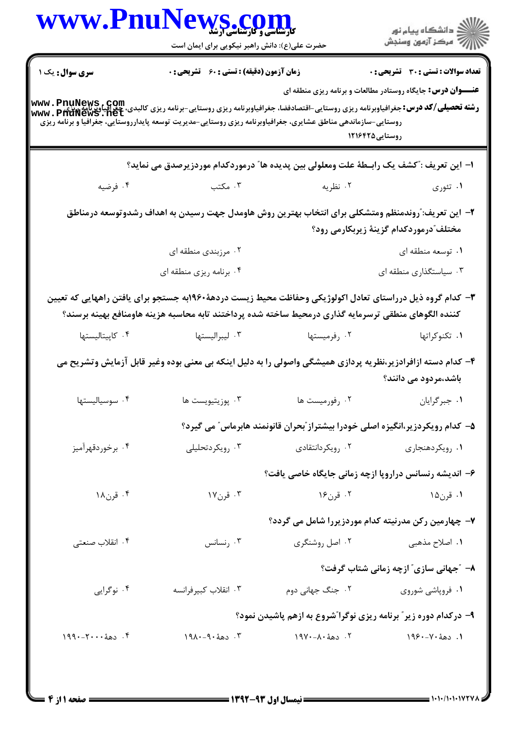|                        | WWW.PnuNews.com<br>حضرت علی(ع): دانش راهبر نیکویی برای ایمان است                                                                                                                                                                                                                                                                                   |                                                                                | ِ<br>∭ دانشڪاه پيام نور<br>∭ مرڪز آزمون وسنڊش                                                                      |
|------------------------|----------------------------------------------------------------------------------------------------------------------------------------------------------------------------------------------------------------------------------------------------------------------------------------------------------------------------------------------------|--------------------------------------------------------------------------------|--------------------------------------------------------------------------------------------------------------------|
| <b>سری سوال :</b> یک ۱ | <b>زمان آزمون (دقیقه) : تستی : 60 ٪ تشریحی : 0</b>                                                                                                                                                                                                                                                                                                 |                                                                                | <b>تعداد سوالات : تستی : 30 ٪ تشریحی : 0</b><br><b>عنـــوان درس:</b> جایگاه روستادر مطالعات و برنامه ریزی منطقه ای |
|                        | <b>www . PnuNews , Com.</b><br>و <b>شته تحصیلی/گد درس:</b> جغرافیاوبرنامه ریزی روستایی-اقتصادفضا، جغرافیاوبرنامه ریزی روستایی-برنامه ریزی کالبدی، چغرافیاوبرنامه<br>www . PhuNewS . net<br>روستایی-سازماندهی مناطق عشایری، جغرافیاوبرنامه ریزی روستایی-مدیریت توسعه پایدارروستایی، جغرافیا و برنامه ریزی                                           | روستایی1۲۱۶۴۲۵                                                                 |                                                                                                                    |
|                        | ا– این تعریف :"کشف یک رابـطهٔ علت ومعلولی بین پدیده ها" درموردکدام موردزیرصدق می نماید؟                                                                                                                                                                                                                                                            |                                                                                |                                                                                                                    |
| ۰۴ فرضیه               | ۰۳ مکتب                                                                                                                                                                                                                                                                                                                                            | ۰۲ نظریه                                                                       | ۰۱ تئوري                                                                                                           |
|                        | ۲– این تعریف: ّروندمنظم ومتشکلی برای انتخاب بهترین روش هاومدل جهت رسیدن به اهداف رشدوتوسعه درمناطق                                                                                                                                                                                                                                                 |                                                                                | مختلف ؒدرموردکدام گزینهٔ زیربکارمی رود؟                                                                            |
|                        | ۰۲ مرزبندی منطقه ای                                                                                                                                                                                                                                                                                                                                |                                                                                | ۰۱ توسعه منطقه ای                                                                                                  |
|                        | ۰۴ برنامه ریزی منطقه ای                                                                                                                                                                                                                                                                                                                            |                                                                                | ۰۳ سیاستگذاری منطقه ای                                                                                             |
| ۰۴ کاپیتالیستها        | ۳– کدام گروه ذیل درراستای تعادل اکولوژیکی وحفاظت محیط زیست دردههٔ۱۹۶۰به جستجو برای یافتن راههایی که تعیین<br>كننده الگوهاى منطقى ترسرمايه گذارى درمحيط ساخته شده پرداختند تابه محاسبه هزينه هاومنافع بهينه برسند؟<br>۰۳ ليبراليستها<br>۴– کدام دسته ازافرادزیر،نظریه پردازی همیشگی واصولی را به دلیل اینکه بی معنی بوده وغیر قابل آزمایش وتشریح می | ۰۲ رفرمیستها                                                                   | ٠١ تكنوكراتها                                                                                                      |
|                        |                                                                                                                                                                                                                                                                                                                                                    |                                                                                |                                                                                                                    |
|                        |                                                                                                                                                                                                                                                                                                                                                    |                                                                                | باشد،مردود می دانند؟                                                                                               |
| ۰۴ سوسياليستها         | ۰۳ پوزيتيويست ها                                                                                                                                                                                                                                                                                                                                   | ۰۲ رفورمیست ها                                                                 | ٠١ جبر گرايان                                                                                                      |
|                        |                                                                                                                                                                                                                                                                                                                                                    | ۵– کدام رویکردزیر،انگیزه اصلی خودرا بیشتراز ّبحران قانونمند هابرماس ّ می گیرد؟ |                                                                                                                    |
| ۰۴ برخوردقهرآمیز       | ۰۳ رویکردتحلیلی                                                                                                                                                                                                                                                                                                                                    | ۰۲ رویکردانتقادی                                                               | ۰۱ رویکردهنجاری                                                                                                    |
|                        |                                                                                                                                                                                                                                                                                                                                                    | ۶- اندیشه رنسانس دراروپا ازچه زمانی جایگاه خاصی یافت؟                          |                                                                                                                    |
| ۰۴ قرن۱۸               | ۰۳ قرن۱۷                                                                                                                                                                                                                                                                                                                                           | ۰۲ قرن۱۶                                                                       | ۰۱ قرن۱۵                                                                                                           |
|                        |                                                                                                                                                                                                                                                                                                                                                    | ۷- چهارمین رکن مدرنیته کدام موردزیررا شامل می گردد؟                            |                                                                                                                    |
| ۰۴ انقلاب صنعتبي       | ۰۳ رنسانس                                                                                                                                                                                                                                                                                                                                          | ۰۲ اصل روشنگری                                                                 | ۱. اصلاح مذهبی                                                                                                     |
|                        |                                                                                                                                                                                                                                                                                                                                                    |                                                                                | ٨- ″جهانی سازی″ ازچه زمانی شتاب گرفت؟                                                                              |
| ۰۴ نوگرايي             | ۰۳ انقلاب كبير فرانسه                                                                                                                                                                                                                                                                                                                              | ۰۲ جنگ جهان <sub>ی</sub> دوم                                                   | ۰۱ فروپاشی شوروی                                                                                                   |
|                        |                                                                                                                                                                                                                                                                                                                                                    | ۹- درکدام دوره زیر ؒ برنامه ریزی نوگرا ؒشروع به ازهم پاشیدن نمود؟              |                                                                                                                    |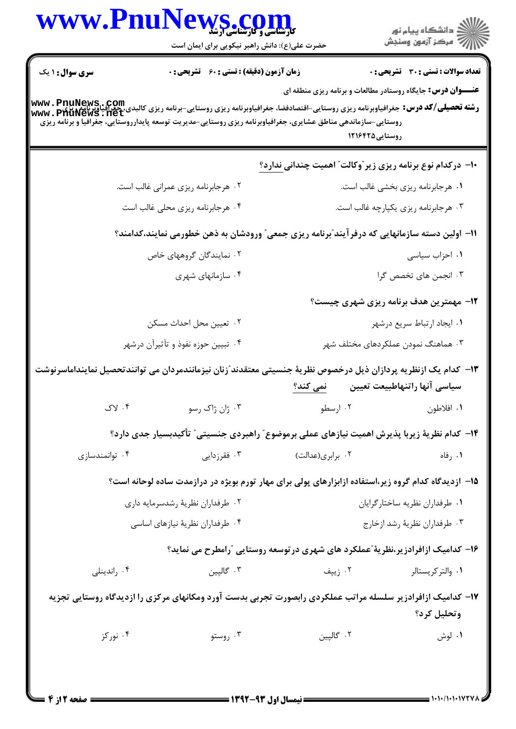| <b>زمان آزمون (دقیقه) : تستی : 60 ٪ تشریحی : 0</b><br><b>تعداد سوالات : تستي : 30 ٪ تشريحي : 0</b><br><b>عنـــوان درس:</b> جایگاه روستادر مطالعات و برنامه ریزی منطقه ای<br>  www . PnuNews . com<br>  رشته تحصیلی/کد درس: جغرافیاوبرنامه ریزی روستایی- قتصادفضا، جغرافیاوبرنامه ریزی روستایی-برنامه ریزی کالبدی، حجرافیاوبرنامه<br>  www . PhuNews . net<br>روستایی-سازماندهی مناطق عشایری، جغرافیاوبرنامه ریزی روستایی-مدیریت توسعه پایدارروستایی، جغرافیا و برنامه ریزی<br>روستایی1۲۱۶۴۲۵<br>∙ا− درکدام نوع برنامه ریزی زیر ٌوکالت″ اهمیت چندانی ندارد؟<br>۰۲ هرجابرنامه ریزی عمرانی غالب است.<br>۰۱ هرجابرنامه ریزی بخشی غالب است.<br>۰۴ هرجابرنامه ریزی محلی غالب است<br>۰۳ هرجابرنامه ریزی یکپارچه غالب است.<br>1۱– اولین دسته سازمانهایی که درفرآیند ّبرنامه ریزی جمعی ّ ورودشان به ذهن خطورمی نمایند،کدامند؟<br>۰۲ نمایندگان گروههای خاص<br>۰۱ احزاب سیاسی<br>۰۳ انجمن های تخصص گرا<br>۰۴ سازمانهای شهری<br><b>۱۲- مهمترین هدف برنامه ریزی شهری چیست؟</b><br>٠٢ تعيين محل احداث مسكن<br>۰۱ ایجاد ارتباط سریع درشهر<br>۰۴ تبیین حوزه نفوذ و تأثیرآن درشهر<br>۰۳ هماهنگ نمودن عملکردهای مختلف شهر<br>۱۳– کدام یک ازنظریه پردازان ذیل درخصوص نظریهٔ جنسیتی معتقدند ؒزنان نیزمانندمردان می توانندتحصیل نماینداماسرنوشت<br>سياسي آنها راتنهاطبيعت تعيين<br>نمی کند؟<br>۰۴ لاک<br>۰۳ ژان ژاک رسو<br>۰۲ ارسطو<br>۰۱ افلاطون<br>۱۴– کدام نظریهٔ زیربا پذیرش اهمیت نیازهای عملی برموضوع ؒ راهبردی جنسیتی ؒ تأکیدبسیار جدی دارد؟<br>۰۴ توانمندسازی<br>۰۳ فقرزدایی<br>۰۲ برابری(عدالت)<br>۰۱ رفاه<br>۱۵– ازدیدگاه کدام گروه زیر،استفاده ازابزارهای پولی برای مهار تورم بویژه در درازمدت ساده لوحانه است؟<br>۰۲ طرفداران نظريهٔ رشدسرمايه داري<br>٠١ طرفداران نظريه ساختار گرايان<br>۰۴ طرفداران نظريهٔ نيازهاي اساسي<br>۰۳ طرفداران نظريهٔ رشد ازخارج<br>۱۶– کدامیک ازافرادزیر،نظریهٔ ًعملکرد های شهری در توسعه روستایی  ًرامطرح می نماید؟<br>۰۳ گاليين<br>۰۲ زیپف<br>۰۴ راندینلی<br>۰۱ والتر کریستالر<br>۱۷– کدامیک ازافرادزیر سلسله مراتب عملکردی رابصورت تجربی بدست آورد ومکانهای مرکزی را ازدیدگاه روستایی تجزیه<br>وتحليل كرد؟<br>۰۴ نورکز<br>۰۳ روستو<br>۰۲ گالپين<br>۰۱ لوش |                        | VS .COM<br>حضرت علی(ع): دانش راهبر نیکویی برای ایمان است |  | د دانشڪاه پيام نور<br>7- مرڪز آزمون وسنڊش |  |
|---------------------------------------------------------------------------------------------------------------------------------------------------------------------------------------------------------------------------------------------------------------------------------------------------------------------------------------------------------------------------------------------------------------------------------------------------------------------------------------------------------------------------------------------------------------------------------------------------------------------------------------------------------------------------------------------------------------------------------------------------------------------------------------------------------------------------------------------------------------------------------------------------------------------------------------------------------------------------------------------------------------------------------------------------------------------------------------------------------------------------------------------------------------------------------------------------------------------------------------------------------------------------------------------------------------------------------------------------------------------------------------------------------------------------------------------------------------------------------------------------------------------------------------------------------------------------------------------------------------------------------------------------------------------------------------------------------------------------------------------------------------------------------------------------------------------------------------------------------------------------------------------------------------------------------------------------------------------------------------------------------------------------------------------------------------------------------|------------------------|----------------------------------------------------------|--|-------------------------------------------|--|
|                                                                                                                                                                                                                                                                                                                                                                                                                                                                                                                                                                                                                                                                                                                                                                                                                                                                                                                                                                                                                                                                                                                                                                                                                                                                                                                                                                                                                                                                                                                                                                                                                                                                                                                                                                                                                                                                                                                                                                                                                                                                                 | <b>سری سوال : ۱ یک</b> |                                                          |  |                                           |  |
|                                                                                                                                                                                                                                                                                                                                                                                                                                                                                                                                                                                                                                                                                                                                                                                                                                                                                                                                                                                                                                                                                                                                                                                                                                                                                                                                                                                                                                                                                                                                                                                                                                                                                                                                                                                                                                                                                                                                                                                                                                                                                 |                        |                                                          |  |                                           |  |
|                                                                                                                                                                                                                                                                                                                                                                                                                                                                                                                                                                                                                                                                                                                                                                                                                                                                                                                                                                                                                                                                                                                                                                                                                                                                                                                                                                                                                                                                                                                                                                                                                                                                                                                                                                                                                                                                                                                                                                                                                                                                                 |                        |                                                          |  |                                           |  |
|                                                                                                                                                                                                                                                                                                                                                                                                                                                                                                                                                                                                                                                                                                                                                                                                                                                                                                                                                                                                                                                                                                                                                                                                                                                                                                                                                                                                                                                                                                                                                                                                                                                                                                                                                                                                                                                                                                                                                                                                                                                                                 |                        |                                                          |  |                                           |  |
|                                                                                                                                                                                                                                                                                                                                                                                                                                                                                                                                                                                                                                                                                                                                                                                                                                                                                                                                                                                                                                                                                                                                                                                                                                                                                                                                                                                                                                                                                                                                                                                                                                                                                                                                                                                                                                                                                                                                                                                                                                                                                 |                        |                                                          |  |                                           |  |
|                                                                                                                                                                                                                                                                                                                                                                                                                                                                                                                                                                                                                                                                                                                                                                                                                                                                                                                                                                                                                                                                                                                                                                                                                                                                                                                                                                                                                                                                                                                                                                                                                                                                                                                                                                                                                                                                                                                                                                                                                                                                                 |                        |                                                          |  |                                           |  |
|                                                                                                                                                                                                                                                                                                                                                                                                                                                                                                                                                                                                                                                                                                                                                                                                                                                                                                                                                                                                                                                                                                                                                                                                                                                                                                                                                                                                                                                                                                                                                                                                                                                                                                                                                                                                                                                                                                                                                                                                                                                                                 |                        |                                                          |  |                                           |  |
|                                                                                                                                                                                                                                                                                                                                                                                                                                                                                                                                                                                                                                                                                                                                                                                                                                                                                                                                                                                                                                                                                                                                                                                                                                                                                                                                                                                                                                                                                                                                                                                                                                                                                                                                                                                                                                                                                                                                                                                                                                                                                 |                        |                                                          |  |                                           |  |
|                                                                                                                                                                                                                                                                                                                                                                                                                                                                                                                                                                                                                                                                                                                                                                                                                                                                                                                                                                                                                                                                                                                                                                                                                                                                                                                                                                                                                                                                                                                                                                                                                                                                                                                                                                                                                                                                                                                                                                                                                                                                                 |                        |                                                          |  |                                           |  |
|                                                                                                                                                                                                                                                                                                                                                                                                                                                                                                                                                                                                                                                                                                                                                                                                                                                                                                                                                                                                                                                                                                                                                                                                                                                                                                                                                                                                                                                                                                                                                                                                                                                                                                                                                                                                                                                                                                                                                                                                                                                                                 |                        |                                                          |  |                                           |  |
|                                                                                                                                                                                                                                                                                                                                                                                                                                                                                                                                                                                                                                                                                                                                                                                                                                                                                                                                                                                                                                                                                                                                                                                                                                                                                                                                                                                                                                                                                                                                                                                                                                                                                                                                                                                                                                                                                                                                                                                                                                                                                 |                        |                                                          |  |                                           |  |
|                                                                                                                                                                                                                                                                                                                                                                                                                                                                                                                                                                                                                                                                                                                                                                                                                                                                                                                                                                                                                                                                                                                                                                                                                                                                                                                                                                                                                                                                                                                                                                                                                                                                                                                                                                                                                                                                                                                                                                                                                                                                                 |                        |                                                          |  |                                           |  |
|                                                                                                                                                                                                                                                                                                                                                                                                                                                                                                                                                                                                                                                                                                                                                                                                                                                                                                                                                                                                                                                                                                                                                                                                                                                                                                                                                                                                                                                                                                                                                                                                                                                                                                                                                                                                                                                                                                                                                                                                                                                                                 |                        |                                                          |  |                                           |  |
|                                                                                                                                                                                                                                                                                                                                                                                                                                                                                                                                                                                                                                                                                                                                                                                                                                                                                                                                                                                                                                                                                                                                                                                                                                                                                                                                                                                                                                                                                                                                                                                                                                                                                                                                                                                                                                                                                                                                                                                                                                                                                 |                        |                                                          |  |                                           |  |
|                                                                                                                                                                                                                                                                                                                                                                                                                                                                                                                                                                                                                                                                                                                                                                                                                                                                                                                                                                                                                                                                                                                                                                                                                                                                                                                                                                                                                                                                                                                                                                                                                                                                                                                                                                                                                                                                                                                                                                                                                                                                                 |                        |                                                          |  |                                           |  |
|                                                                                                                                                                                                                                                                                                                                                                                                                                                                                                                                                                                                                                                                                                                                                                                                                                                                                                                                                                                                                                                                                                                                                                                                                                                                                                                                                                                                                                                                                                                                                                                                                                                                                                                                                                                                                                                                                                                                                                                                                                                                                 |                        |                                                          |  |                                           |  |
|                                                                                                                                                                                                                                                                                                                                                                                                                                                                                                                                                                                                                                                                                                                                                                                                                                                                                                                                                                                                                                                                                                                                                                                                                                                                                                                                                                                                                                                                                                                                                                                                                                                                                                                                                                                                                                                                                                                                                                                                                                                                                 |                        |                                                          |  |                                           |  |
|                                                                                                                                                                                                                                                                                                                                                                                                                                                                                                                                                                                                                                                                                                                                                                                                                                                                                                                                                                                                                                                                                                                                                                                                                                                                                                                                                                                                                                                                                                                                                                                                                                                                                                                                                                                                                                                                                                                                                                                                                                                                                 |                        |                                                          |  |                                           |  |
|                                                                                                                                                                                                                                                                                                                                                                                                                                                                                                                                                                                                                                                                                                                                                                                                                                                                                                                                                                                                                                                                                                                                                                                                                                                                                                                                                                                                                                                                                                                                                                                                                                                                                                                                                                                                                                                                                                                                                                                                                                                                                 |                        |                                                          |  |                                           |  |
|                                                                                                                                                                                                                                                                                                                                                                                                                                                                                                                                                                                                                                                                                                                                                                                                                                                                                                                                                                                                                                                                                                                                                                                                                                                                                                                                                                                                                                                                                                                                                                                                                                                                                                                                                                                                                                                                                                                                                                                                                                                                                 |                        |                                                          |  |                                           |  |
|                                                                                                                                                                                                                                                                                                                                                                                                                                                                                                                                                                                                                                                                                                                                                                                                                                                                                                                                                                                                                                                                                                                                                                                                                                                                                                                                                                                                                                                                                                                                                                                                                                                                                                                                                                                                                                                                                                                                                                                                                                                                                 |                        |                                                          |  |                                           |  |
|                                                                                                                                                                                                                                                                                                                                                                                                                                                                                                                                                                                                                                                                                                                                                                                                                                                                                                                                                                                                                                                                                                                                                                                                                                                                                                                                                                                                                                                                                                                                                                                                                                                                                                                                                                                                                                                                                                                                                                                                                                                                                 |                        |                                                          |  |                                           |  |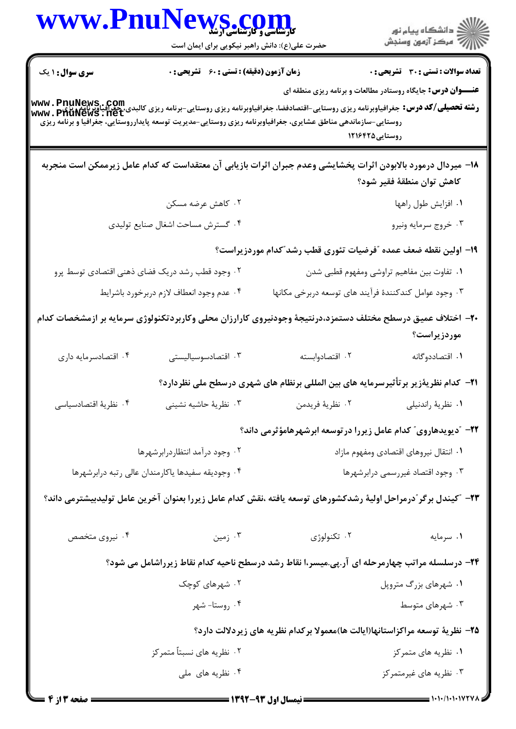| WWW.PnuNews.com                                                                                                                                                                                          | حضرت علی(ع): دانش راهبر نیکویی برای ایمان است      |                                                                   | الاد دانشگاه پيام نور<br>الا مرکز آزمون وسنجش                                                                                              |  |
|----------------------------------------------------------------------------------------------------------------------------------------------------------------------------------------------------------|----------------------------------------------------|-------------------------------------------------------------------|--------------------------------------------------------------------------------------------------------------------------------------------|--|
| <b>سری سوال :</b> ۱ یک                                                                                                                                                                                   | <b>زمان آزمون (دقیقه) : تستی : 60 ٪ تشریحی : 0</b> |                                                                   | <b>تعداد سوالات : تستی : 30 ٪ تشریحی : 0</b>                                                                                               |  |
| <b>رشته تحصیلی/کد درس: PnuNews . COM</b><br>WWW . PhuNews . net<br>WWW . PhuNews . Tet<br>روستایی -سازماندهی مناطق عشایری، جغرافیاوبرنامه ریزی روستایی-مدیریت توسعه پایدارروستایی، جغرافیا و برنامه ریزی |                                                    |                                                                   | <b>عنـــوان درس:</b> جایگاه روستادر مطالعات و برنامه ریزی منطقه ای<br>روستایی1۲۱۶۴۲۵                                                       |  |
|                                                                                                                                                                                                          |                                                    |                                                                   | ۱۸− میردال درمورد بالابودن اثرات پخشایشی وعدم جبران اثرات بازیابی آن معتقداست که کدام عامل زیرممکن است منجربه<br>كاهش توان منطقة فقير شود؟ |  |
|                                                                                                                                                                                                          | ۰۲ کاهش عرضه مسکن                                  |                                                                   | ۰۱ افزایش طول راهها                                                                                                                        |  |
|                                                                                                                                                                                                          | ۰۴ گسترش مساحت اشغال صنايع توليدي                  |                                                                   | ۰۳ خروج سرمايه ونيرو                                                                                                                       |  |
|                                                                                                                                                                                                          |                                                    |                                                                   | ۱۹– اولین نقطه ضعف عمده ″فرضیات تئوری قطب رشد″کدام موردزیراست؟                                                                             |  |
| ۰۲ وجود قطب رشد دریک فضای ذهنی اقتصادی توسط پرو                                                                                                                                                          |                                                    |                                                                   | ٠١ تفاوت بين مفاهيم تراوشي ومفهوم قطبي شدن                                                                                                 |  |
|                                                                                                                                                                                                          | ۰۴ عدم وجود انعطاف لازم دربرخورد باشرايط           |                                                                   | ۰۳ وجود عوامل کندکنندهٔ فرآیند های توسعه دربرخی مکانها                                                                                     |  |
|                                                                                                                                                                                                          |                                                    |                                                                   | +۲- اختلاف عمیق درسطح مختلف دستمزد،درنتیجهٔ وجودنیروی کارارزان محلی وکاربردتکنولوژی سرمایه بر ازمشخصات کدام<br>موردزیراست؟                 |  |
| ۰۴ اقتصادسرمايه داري                                                                                                                                                                                     | ۰۳ اقتصادسوسياليستى                                | ۰۲ اقتصادوابسته                                                   | ۰۱ اقتصاددوگانه                                                                                                                            |  |
|                                                                                                                                                                                                          |                                                    |                                                                   | <b>۲۱</b> – کدام نظریهٔزیر برتأثیرسرمایه های بین المللی برنظام های شهری درسطح ملی نظردارد؟                                                 |  |
| ۰۴ نظرية اقتصادسياسي                                                                                                                                                                                     | ۰۳ نظریهٔ حاشیه نشینی                              | ٠٢ نظريهٔ فريدمن                                                  | ٠١ نظرية راندنيلي                                                                                                                          |  |
|                                                                                                                                                                                                          |                                                    |                                                                   | ۲۲- "دیویدهاروی" کدام عامل زیررا در توسعه ابرشهرهامؤثرمی داند؟                                                                             |  |
| ۰۲ وجود درآمد انتظاردرابرشهرها                                                                                                                                                                           |                                                    | ۰۱ انتقال نیروهای اقتصادی ومفهوم مازاد                            |                                                                                                                                            |  |
|                                                                                                                                                                                                          | ۰۴ وجوديقه سفيدها ياكارمندان عالى رتبه درابرشهرها  |                                                                   | ۰۳ وجود اقتصاد غیررسمی درابرشهرها                                                                                                          |  |
|                                                                                                                                                                                                          |                                                    |                                                                   | ۲۳– "کیندل برگر"درمراحل اولیهٔ رشدکشورهای توسعه یافته ،نقش کدام عامل زیررا بعنوان آخرین عامل تولیدبیشترمی داند؟                            |  |
| ۰۴ نیروی متخصص                                                                                                                                                                                           | ۰۳ زمین                                            | ۰۲ تکنولوژی                                                       | ٠١ سرمايه                                                                                                                                  |  |
|                                                                                                                                                                                                          |                                                    |                                                                   | ۲۴- درسلسله مراتب چهارمرحله ای آر.پی.میسر،ا نقاط رشد درسطح ناحیه کدام نقاط زیرراشامل می شود؟                                               |  |
|                                                                                                                                                                                                          | ۰۲ شهرهای کوچک                                     |                                                                   | ۰۱ شهرهای بزرگ متروپل                                                                                                                      |  |
|                                                                                                                                                                                                          | ۰۴ روستا- شهر                                      |                                                                   | ۰۳ شهرهای متوسط                                                                                                                            |  |
|                                                                                                                                                                                                          |                                                    |                                                                   | ۲۵– نظریهٔ توسعه مراکزاستانها(ایالت ها)معمولا برکدام نظریه های زیردلالت دارد؟                                                              |  |
|                                                                                                                                                                                                          | ۰۲ نظریه های نسبتاً متمرکز                         |                                                                   | ۰۱ نظریه های متمرکز                                                                                                                        |  |
|                                                                                                                                                                                                          | ۰۴ نظریه های ملی                                   |                                                                   | ۰۳ نظریه های غیرمتمرکز                                                                                                                     |  |
|                                                                                                                                                                                                          |                                                    | $\longrightarrow$ ivev ever in the second state $\longrightarrow$ |                                                                                                                                            |  |